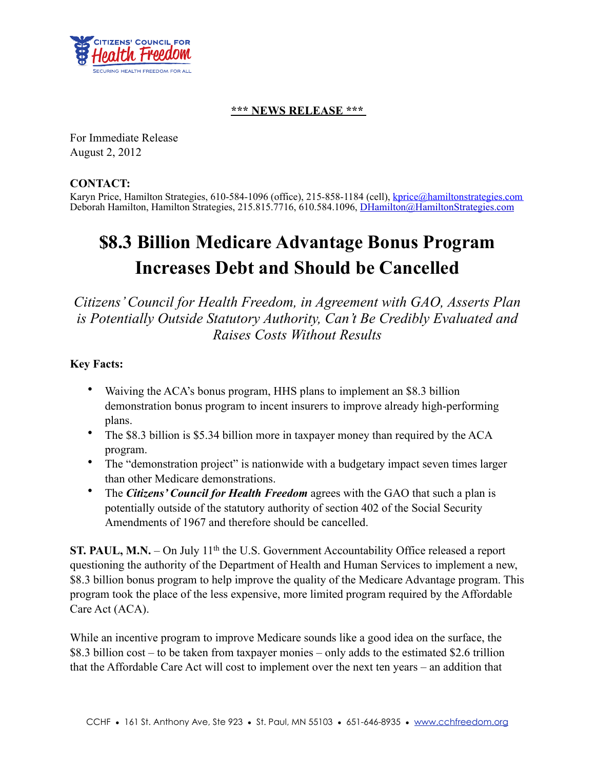

## **\*\*\* NEWS RELEASE \*\*\***

For Immediate Release August 2, 2012

## **CONTACT:**

Karyn Price, Hamilton Strategies, 610-584-1096 (office), 215-858-1184 (cell), [kprice@hamiltonstrategies.com](mailto:kprice@hamiltonstrategies.com) Deborah Hamilton, Hamilton Strategies, 215.815.7716, 610.584.1096, [DHamilton@HamiltonStrategies.com](mailto:DHamilton@HamiltonStrategies.com)

## **\$8.3 Billion Medicare Advantage Bonus Program Increases Debt and Should be Cancelled**

*Citizens' Council for Health Freedom, in Agreement with GAO, Asserts Plan is Potentially Outside Statutory Authority, Can't Be Credibly Evaluated and Raises Costs Without Results*

## **Key Facts:**

- Waiving the ACA's bonus program, HHS plans to implement an \$8.3 billion demonstration bonus program to incent insurers to improve already high-performing plans.
- The \$8.3 billion is \$5.34 billion more in taxpayer money than required by the ACA program.
- The "demonstration project" is nationwide with a budgetary impact seven times larger than other Medicare demonstrations.
- The *Citizens' Council for Health Freedom* agrees with the GAO that such a plan is potentially outside of the statutory authority of section 402 of the Social Security Amendments of 1967 and therefore should be cancelled.

**ST. PAUL, M.N.** – On July 11<sup>th</sup> the U.S. Government Accountability Office released a report questioning the authority of the Department of Health and Human Services to implement a new, \$8.3 billion bonus program to help improve the quality of the Medicare Advantage program. This program took the place of the less expensive, more limited program required by the Affordable Care Act (ACA).

While an incentive program to improve Medicare sounds like a good idea on the surface, the \$8.3 billion cost – to be taken from taxpayer monies – only adds to the estimated \$2.6 trillion that the Affordable Care Act will cost to implement over the next ten years – an addition that